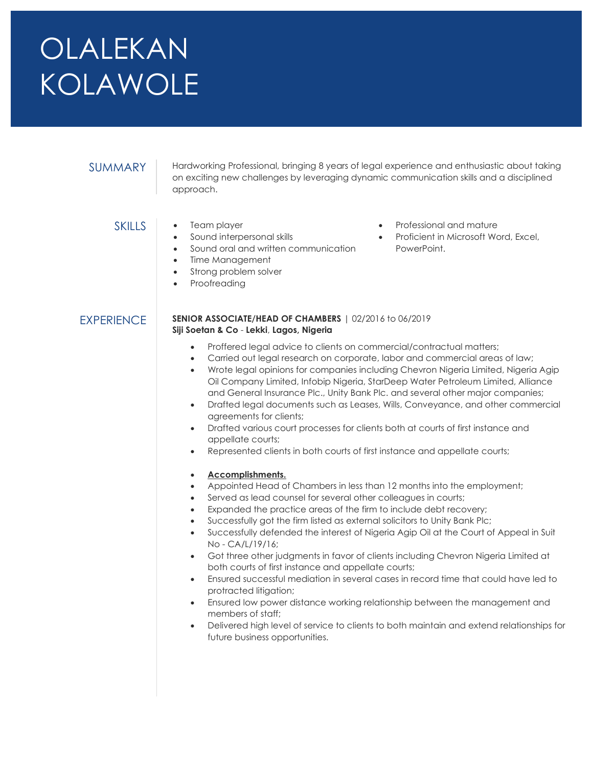# OLALEKAN KOLAWOLE

SUMMARY | Hardworking Professional, bringing 8 years of legal experience and enthusiastic about taking on exciting new challenges by leveraging dynamic communication skills and a disciplined approach.

- SKILLS Team player
	- Sound interpersonal skills
	- Sound oral and written communication
	- Time Management
	- Strong problem solver
	- Proofreading

## PowerPoint.

Professional and mature

Proficient in Microsoft Word, Excel,

## EXPERIENCE SENIOR ASSOCIATE/HEAD OF CHAMBERS | 02/2016 to 06/2019 Siji Soetan & Co - Lekki, Lagos, Nigeria

- Proffered legal advice to clients on commercial/contractual matters;
- Carried out legal research on corporate, labor and commercial areas of law;
- Wrote legal opinions for companies including Chevron Nigeria Limited, Nigeria Agip Oil Company Limited, Infobip Nigeria, StarDeep Water Petroleum Limited, Alliance and General Insurance Plc., Unity Bank Plc. and several other major companies;
- Drafted legal documents such as Leases, Wills, Conveyance, and other commercial agreements for clients;
- Drafted various court processes for clients both at courts of first instance and appellate courts;
- Represented clients in both courts of first instance and appellate courts;

## Accomplishments.

- Appointed Head of Chambers in less than 12 months into the employment;
- Served as lead counsel for several other colleagues in courts;
- Expanded the practice areas of the firm to include debt recovery;
- Successfully got the firm listed as external solicitors to Unity Bank Plc;
- Successfully defended the interest of Nigeria Agip Oil at the Court of Appeal in Suit No - CA/L/19/16;
- Got three other judgments in favor of clients including Chevron Nigeria Limited at both courts of first instance and appellate courts;
- Ensured successful mediation in several cases in record time that could have led to protracted litigation;
- Ensured low power distance working relationship between the management and members of staff;
- Delivered high level of service to clients to both maintain and extend relationships for future business opportunities.